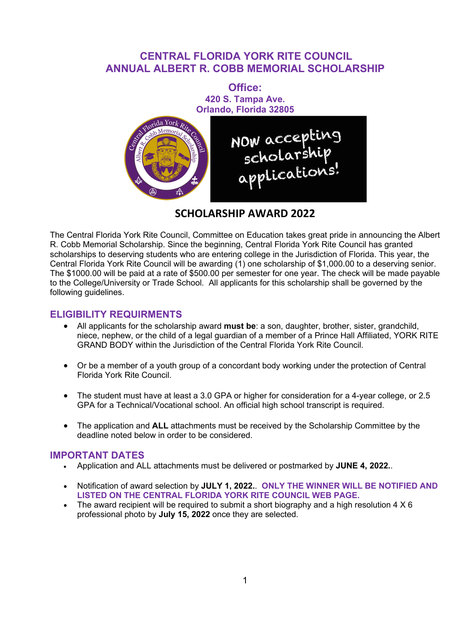# **CENTRAL FLORIDA YORK RITE COUNCIL ANNUAL ALBERT R. COBB MEMORIAL SCHOLARSHIP**



# **SCHOLARSHIP AWARD 2022**

The Central Florida York Rite Council, Committee on Education takes great pride in announcing the Albert R. Cobb Memorial Scholarship. Since the beginning, Central Florida York Rite Council has granted scholarships to deserving students who are entering college in the Jurisdiction of Florida. This year, the Central Florida York Rite Council will be awarding (1) one scholarship of \$1,000.00 to a deserving senior. The \$1000.00 will be paid at a rate of \$500.00 per semester for one year. The check will be made payable to the College/University or Trade School. All applicants for this scholarship shall be governed by the following guidelines.

### **ELIGIBILITY REQUIRMENTS**

- All applicants for the scholarship award **must be**: a son, daughter, brother, sister, grandchild, niece, nephew, or the child of a legal guardian of a member of a Prince Hall Affiliated, YORK RITE GRAND BODY within the Jurisdiction of the Central Florida York Rite Council.
- Or be a member of a youth group of a concordant body working under the protection of Central Florida York Rite Council.
- The student must have at least a 3.0 GPA or higher for consideration for a 4-year college, or 2.5 GPA for a Technical/Vocational school. An official high school transcript is required.
- The application and **ALL** attachments must be received by the Scholarship Committee by the deadline noted below in order to be considered.

### **IMPORTANT DATES**

- Application and ALL attachments must be delivered or postmarked by **JUNE 4, 2022.**.
- Notification of award selection by **JULY 1, 2022.**. **ONLY THE WINNER WILL BE NOTIFIED AND LISTED ON THE CENTRAL FLORIDA YORK RITE COUNCIL WEB PAGE.**
- The award recipient will be required to submit a short biography and a high resolution  $4 \times 6$ professional photo by **July 15, 2022** once they are selected.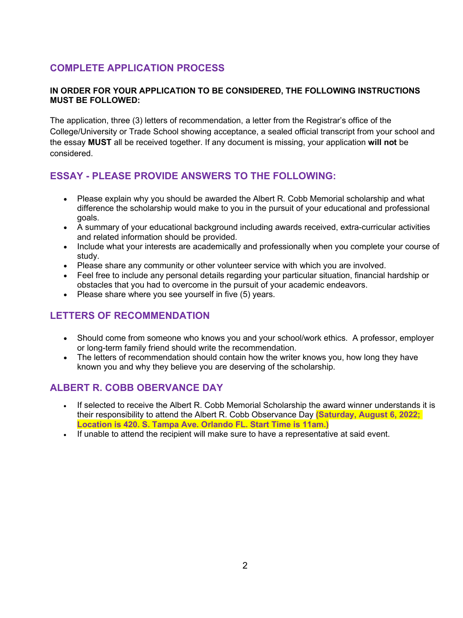# **COMPLETE APPLICATION PROCESS**

#### **IN ORDER FOR YOUR APPLICATION TO BE CONSIDERED, THE FOLLOWING INSTRUCTIONS MUST BE FOLLOWED:**

The application, three (3) letters of recommendation, a letter from the Registrar's office of the College/University or Trade School showing acceptance, a sealed official transcript from your school and the essay **MUST** all be received together. If any document is missing, your application **will not** be considered.

# **ESSAY - PLEASE PROVIDE ANSWERS TO THE FOLLOWING:**

- Please explain why you should be awarded the Albert R. Cobb Memorial scholarship and what difference the scholarship would make to you in the pursuit of your educational and professional goals.
- A summary of your educational background including awards received, extra-curricular activities and related information should be provided.
- Include what your interests are academically and professionally when you complete your course of study.
- Please share any community or other volunteer service with which you are involved.
- Feel free to include any personal details regarding your particular situation, financial hardship or obstacles that you had to overcome in the pursuit of your academic endeavors.
- Please share where you see yourself in five (5) years.

# **LETTERS OF RECOMMENDATION**

- Should come from someone who knows you and your school/work ethics. A professor, employer or long-term family friend should write the recommendation.
- The letters of recommendation should contain how the writer knows you, how long they have known you and why they believe you are deserving of the scholarship.

### **ALBERT R. COBB OBERVANCE DAY**

- If selected to receive the Albert R. Cobb Memorial Scholarship the award winner understands it is their responsibility to attend the Albert R. Cobb Observance Day **(Saturday, August 6, 2022; Location is 420. S. Tampa Ave. Orlando FL. Start Time is 11am.)**
- If unable to attend the recipient will make sure to have a representative at said event.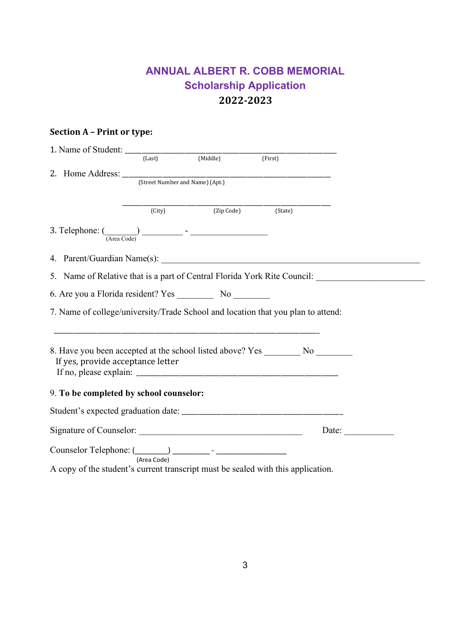# **ANNUAL ALBERT R. COBB MEMORIAL Scholarship Application 2022-2023**

### **Section A – Print or type:**

| 2. Home Address: <u>Correct Number and Name</u> ) (Apt.)                                                       |        |                    |                                                                                                      |       |
|----------------------------------------------------------------------------------------------------------------|--------|--------------------|------------------------------------------------------------------------------------------------------|-------|
|                                                                                                                |        |                    |                                                                                                      |       |
|                                                                                                                |        |                    |                                                                                                      |       |
|                                                                                                                | (City) | (Zip Code) (State) |                                                                                                      |       |
|                                                                                                                |        |                    |                                                                                                      |       |
|                                                                                                                |        |                    |                                                                                                      |       |
|                                                                                                                |        |                    | 5. Name of Relative that is a part of Central Florida York Rite Council: ___________________________ |       |
|                                                                                                                |        |                    |                                                                                                      |       |
|                                                                                                                |        |                    | 7. Name of college/university/Trade School and location that you plan to attend:                     |       |
| If yes, provide acceptance letter                                                                              |        |                    | 8. Have you been accepted at the school listed above? Yes __________ No _________                    |       |
| 9. To be completed by school counselor:                                                                        |        |                    |                                                                                                      |       |
|                                                                                                                |        |                    |                                                                                                      |       |
|                                                                                                                |        |                    |                                                                                                      | Date: |
| $\frac{1}{\text{Counselor} \cdot \text{Cephone:}} \frac{1}{\text{Area Code}} \cdot \frac{1}{\text{Area Code}}$ |        |                    |                                                                                                      |       |
|                                                                                                                |        |                    | A copy of the student's current transcript must be sealed with this application.                     |       |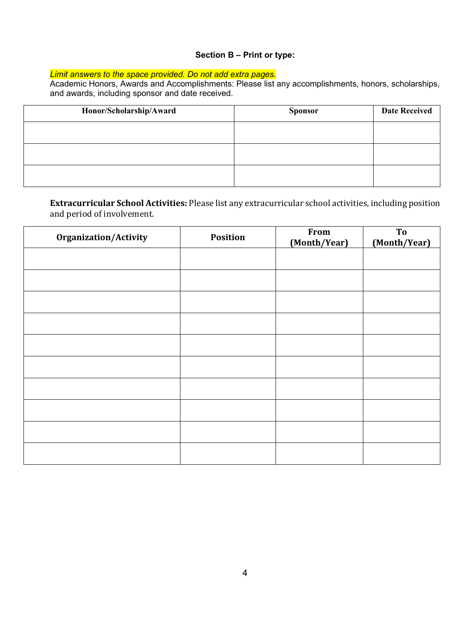#### **Section B – Print or type:**

### *Limit answers to the space provided. Do not add extra pages.*

Academic Honors, Awards and Accomplishments: Please list any accomplishments, honors, scholarships, and awards, including sponsor and date received.

| Honor/Scholarship/Award | <b>Sponsor</b> | <b>Date Received</b> |
|-------------------------|----------------|----------------------|
|                         |                |                      |
|                         |                |                      |
|                         |                |                      |

**Extracurricular School Activities:** Please list any extracurricular school activities, including position and period of involvement.

| <b>Organization/Activity</b> | <b>Position</b> | From<br>(Month/Year) | To<br>(Month/Year) |
|------------------------------|-----------------|----------------------|--------------------|
|                              |                 |                      |                    |
|                              |                 |                      |                    |
|                              |                 |                      |                    |
|                              |                 |                      |                    |
|                              |                 |                      |                    |
|                              |                 |                      |                    |
|                              |                 |                      |                    |
|                              |                 |                      |                    |
|                              |                 |                      |                    |
|                              |                 |                      |                    |